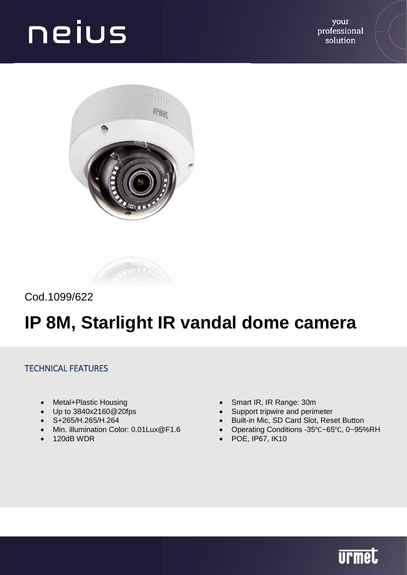your professional solution



Cod.1099/622

### **IP 8M, Starlight IR vandal dome camera**

#### TECHNICAL FEATURES

- Metal+Plastic Housing
- Up to 3840x2160@20fps
- S+265/H.265/H.264
- Min. illumination Color: 0.01 Lux@F1.6
- $\bullet$  120dB WDR
- Smart IR, IR Range: 30m
- Support tripwire and perimeter
- Built-in Mic, SD Card Slot, Reset Button
- Operating Conditions -35℃~65℃, 0~95%RH
- POE, IP67, IK10

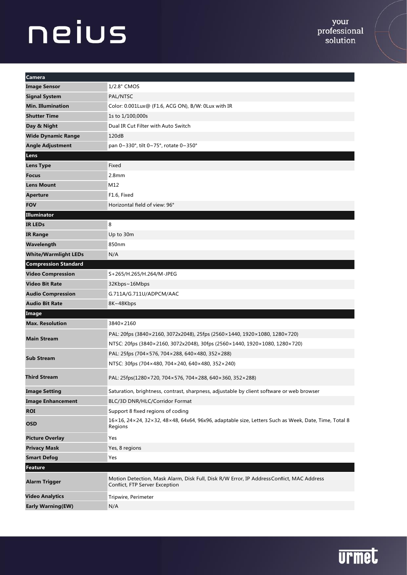| Camera                      |                                                                                                                            |
|-----------------------------|----------------------------------------------------------------------------------------------------------------------------|
| <b>Image Sensor</b>         | 1/2.8" CMOS                                                                                                                |
| <b>Signal System</b>        | PAL/NTSC                                                                                                                   |
| <b>Min. Illumination</b>    | Color: 0.001Lux@ (F1.6, ACG ON), B/W: 0Lux with IR                                                                         |
| <b>Shutter Time</b>         | 1s to 1/100,000s                                                                                                           |
| Day & Night                 | Dual IR Cut Filter with Auto Switch                                                                                        |
| <b>Wide Dynamic Range</b>   | 120dB                                                                                                                      |
| <b>Angle Adjustment</b>     | pan 0~330°, tilt 0~75°, rotate 0~350°                                                                                      |
| Lens                        |                                                                                                                            |
| <b>Lens Type</b>            | Fixed                                                                                                                      |
| <b>Focus</b>                | 2.8 <sub>mm</sub>                                                                                                          |
| <b>Lens Mount</b>           | M12                                                                                                                        |
| <b>Aperture</b>             | F1.6, Fixed                                                                                                                |
| <b>FOV</b>                  | Horizontal field of view: 96°                                                                                              |
| Illuminator                 |                                                                                                                            |
| <b>IR LEDs</b>              | 8                                                                                                                          |
| <b>IR Range</b>             | Up to 30m                                                                                                                  |
| Wavelength                  | 850nm                                                                                                                      |
| <b>White/Warmlight LEDs</b> | N/A                                                                                                                        |
| <b>Compression Standard</b> |                                                                                                                            |
| <b>Video Compression</b>    | S+265/H.265/H.264/M-JPEG                                                                                                   |
| <b>Video Bit Rate</b>       | 32Kbps~16Mbps                                                                                                              |
| <b>Audio Compression</b>    | G.711A/G.711U/ADPCM/AAC                                                                                                    |
| <b>Audio Bit Rate</b>       | 8K~48Kbps                                                                                                                  |
| Image                       |                                                                                                                            |
| <b>Max. Resolution</b>      | 3840×2160                                                                                                                  |
| <b>Main Stream</b>          | PAL: 20fps (3840×2160, 3072x2048), 25fps (2560×1440, 1920×1080, 1280×720)                                                  |
|                             | NTSC: 20fps (3840×2160, 3072x2048), 30fps (2560×1440, 1920×1080, 1280×720)                                                 |
| <b>Sub Stream</b>           | PAL: 25fps (704×576, 704×288, 640×480, 352×288)                                                                            |
|                             | NTSC: 30fps (704×480, 704×240, 640×480, 352×240)                                                                           |
| Third Stream                | PAL: 25fps(1280×720, 704×576, 704×288, 640×360, 352×288)                                                                   |
| <b>Image Setting</b>        | Saturation, brightness, contrast, sharpness, adjustable by client software or web browser                                  |
| <b>Image Enhancement</b>    | BLC/3D DNR/HLC/Corridor Format                                                                                             |
| <b>ROI</b>                  | Support 8 fixed regions of coding                                                                                          |
| <b>OSD</b>                  | 16×16, 24×24, 32×32, 48×48, 64x64, 96x96, adaptable size, Letters Such as Week, Date, Time, Total 8<br>Regions             |
| <b>Picture Overlay</b>      | Yes                                                                                                                        |
| <b>Privacy Mask</b>         | Yes, 8 regions                                                                                                             |
| <b>Smart Defog</b>          | Yes                                                                                                                        |
| <b>Feature</b>              |                                                                                                                            |
| <b>Alarm Trigger</b>        | Motion Detection, Mask Alarm, Disk Full, Disk R/W Error, IP AddressConflict, MAC Address<br>Conflict, FTP Server Exception |
| <b>Video Analytics</b>      | Tripwire, Perimeter                                                                                                        |
| <b>Early Warning(EW)</b>    | N/A                                                                                                                        |

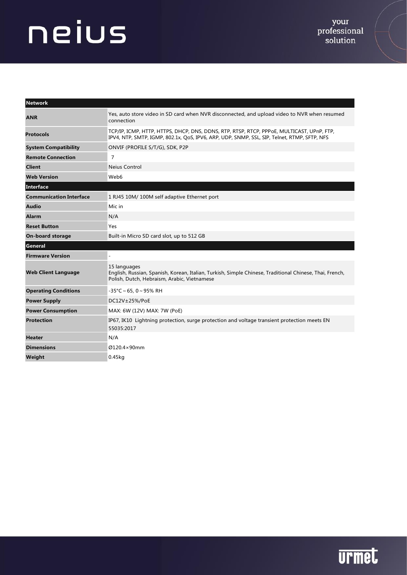| <b>Network</b>                 |                                                                                                                                                                                          |
|--------------------------------|------------------------------------------------------------------------------------------------------------------------------------------------------------------------------------------|
| <b>ANR</b>                     | Yes, auto store video in SD card when NVR disconnected, and upload video to NVR when resumed<br>connection                                                                               |
| <b>Protocols</b>               | TCP/IP, ICMP, HTTP, HTTPS, DHCP, DNS, DDNS, RTP, RTSP, RTCP, PPPoE, MULTICAST, UPnP, FTP,<br>IPV4, NTP, SMTP, IGMP, 802.1x, QoS, IPV6, ARP, UDP, SNMP, SSL, SIP, Telnet, RTMP, SFTP, NFS |
| <b>System Compatibility</b>    | ONVIF (PROFILE S/T/G), SDK, P2P                                                                                                                                                          |
| <b>Remote Connection</b>       | $\overline{7}$                                                                                                                                                                           |
| <b>Client</b>                  | Neius Control                                                                                                                                                                            |
| <b>Web Version</b>             | Web6                                                                                                                                                                                     |
| <b>Interface</b>               |                                                                                                                                                                                          |
| <b>Communication Interface</b> | 1 RJ45 10M/100M self adaptive Ethernet port                                                                                                                                              |
| <b>Audio</b>                   | Mic in                                                                                                                                                                                   |
| <b>Alarm</b>                   | N/A                                                                                                                                                                                      |
| <b>Reset Button</b>            | Yes                                                                                                                                                                                      |
| <b>On-board storage</b>        | Built-in Micro SD card slot, up to 512 GB                                                                                                                                                |
| General                        |                                                                                                                                                                                          |
| <b>Firmware Version</b>        |                                                                                                                                                                                          |
| <b>Web Client Language</b>     | 15 languages<br>English, Russian, Spanish, Korean, Italian, Turkish, Simple Chinese, Traditional Chinese, Thai, French,<br>Polish, Dutch, Hebraism, Arabic, Vietnamese                   |
| <b>Operating Conditions</b>    | $-35^{\circ}$ C ~ 65, 0 ~ 95% RH                                                                                                                                                         |
| <b>Power Supply</b>            | DC12V±25%/PoE                                                                                                                                                                            |
| <b>Power Consumption</b>       | MAX: 6W (12V) MAX: 7W (PoE)                                                                                                                                                              |
| <b>Protection</b>              | IP67, IK10 Lightning protection, surge protection and voltage transient protection meets EN<br>55035:2017                                                                                |
| <b>Heater</b>                  | N/A                                                                                                                                                                                      |
| <b>Dimensions</b>              | Ø120.4×90mm                                                                                                                                                                              |
| Weight                         | 0.45kg                                                                                                                                                                                   |